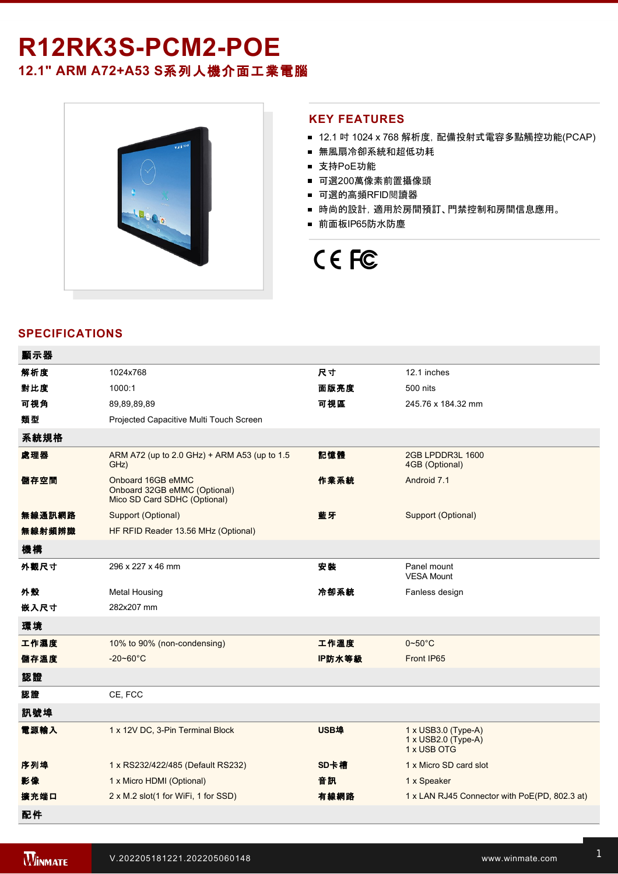## R12RK3S-PCM2-POE

### **12.1" ARM A72+A53 S**系列人機介面工業電腦



### **KEY FEATURES**

- 12.1 吋 1024 x 768 解析度, 配備投射式電容多點觸控功能(PCAP)
- 無風扇冷卻系統和超低功耗
- 支持PoE功能
- 可選200萬像素前置攝像頭
- 可選的高頻RFID閱讀器
- 時尚的設計, 適用於房間預訂、門禁控制和房間信息應用。
- 前面板IP65防水防塵

# CE FC

### **SPECIFICATIONS**

| 顯示器    |                                                                                   |        |                                                           |
|--------|-----------------------------------------------------------------------------------|--------|-----------------------------------------------------------|
| 解析度    | 1024x768                                                                          | 尺寸     | 12.1 inches                                               |
| 對比度    | 1000:1                                                                            | 面版亮度   | 500 nits                                                  |
| 可視角    | 89,89,89,89                                                                       | 可視區    | 245.76 x 184.32 mm                                        |
| 類型     | Projected Capacitive Multi Touch Screen                                           |        |                                                           |
| 系統規格   |                                                                                   |        |                                                           |
| 處理器    | ARM A72 (up to 2.0 GHz) + ARM A53 (up to 1.5<br>GHz)                              | 記憶體    | 2GB LPDDR3L 1600<br>4GB (Optional)                        |
| 儲存空間   | Onboard 16GB eMMC<br>Onboard 32GB eMMC (Optional)<br>Mico SD Card SDHC (Optional) | 作業系統   | Android 7.1                                               |
| 無線通訊網路 | Support (Optional)                                                                | 藍牙     | Support (Optional)                                        |
| 無線射頻辨識 | HF RFID Reader 13.56 MHz (Optional)                                               |        |                                                           |
| 機構     |                                                                                   |        |                                                           |
| 外觀尺寸   | 296 x 227 x 46 mm                                                                 | 安装     | Panel mount<br><b>VESA Mount</b>                          |
| 外殼     | <b>Metal Housing</b>                                                              | 冷卻系統   | Fanless design                                            |
| 嵌入尺寸   | 282x207 mm                                                                        |        |                                                           |
| 環境     |                                                                                   |        |                                                           |
| 工作濕度   | 10% to 90% (non-condensing)                                                       | 工作溫度   | $0 - 50$ °C                                               |
| 儲存溫度   | $-20 - 60^{\circ}$ C                                                              | IP防水等級 | Front IP65                                                |
| 認證     |                                                                                   |        |                                                           |
| 認證     | CE, FCC                                                                           |        |                                                           |
| 訊號埠    |                                                                                   |        |                                                           |
| 電源輸入   | 1 x 12V DC, 3-Pin Terminal Block                                                  | USB埠   | 1 x USB3.0 (Type-A)<br>1 x USB2.0 (Type-A)<br>1 x USB OTG |
| 序列埠    | 1 x RS232/422/485 (Default RS232)                                                 | SD卡槽   | 1 x Micro SD card slot                                    |
| 影像     | 1 x Micro HDMI (Optional)                                                         | 音訊     | 1 x Speaker                                               |
| 擴充端口   | 2 x M.2 slot(1 for WiFi, 1 for SSD)                                               | 有線網路   | 1 x LAN RJ45 Connector with PoE(PD, 802.3 at)             |
| 配件     |                                                                                   |        |                                                           |

Manual